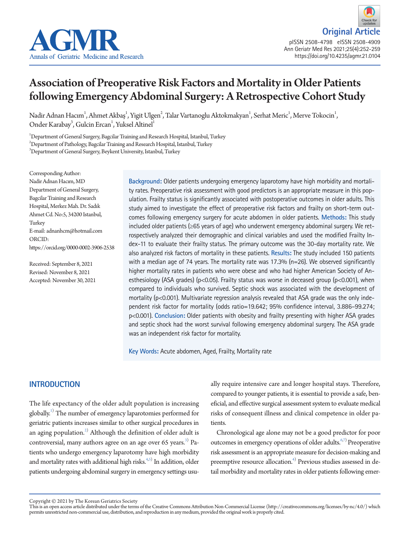



# Association of Preoperative Risk Factors and Mortality in Older Patients following Emergency Abdominal Surgery: A Retrospective Cohort Study

Nadir Adnan Hacım<sup>1</sup>, Ahmet Akbaş<sup>1</sup>, Yigit Ulgen<sup>2</sup>, Talar Vartanoglu Aktokmakyan<sup>1</sup>, Serhat Meric<sup>1</sup>, Merve Tokocin<sup>1</sup>, Onder Karabay<sup>3</sup>, Gulcin Ercan<sup>1</sup>, Yuksel Altinel<sup>1</sup>

1 Department of General Surgery, Bagcilar Training and Research Hospital, Istanbul, Turkey  $^2$ Department of Pathology, Bagcilar Training and Research Hospital, Istanbul, Turkey  $^3$ Department of General Surgery, Beykent University, Istanbul, Turkey

Corresponding Author: Nadir Adnan Hacım, MD Department of General Surgery, Bagcilar Training and Research Hospital, Merkez Mah. Dr. Sadık Ahmet Cd. No:5, 34200 Istanbul, Turkey E-mail: adnanhcm@hotmail.com ORCID: https://orcid.org/0000-0002-3906-2538

Received: September 8, 2021 Revised: November 8, 2021 Accepted: November 30, 2021 **Background:** Older patients undergoing emergency laparotomy have high morbidity and mortality rates. Preoperative risk assessment with good predictors is an appropriate measure in this population. Frailty status is significantly associated with postoperative outcomes in older adults. This study aimed to investigate the effect of preoperative risk factors and frailty on short-term outcomes following emergency surgery for acute abdomen in older patients. **Methods:** This study included older patients (≥65 years of age) who underwent emergency abdominal surgery. We retrospectively analyzed their demographic and clinical variables and used the modified Frailty Index-11 to evaluate their frailty status. The primary outcome was the 30-day mortality rate. We also analyzed risk factors of mortality in these patients. **Results:** The study included 150 patients with a median age of 74 years. The mortality rate was 17.3%  $(n=26)$ . We observed significantly higher mortality rates in patients who were obese and who had higher American Society of Anesthesiology (ASA grades) ( $p<0.05$ ). Frailty status was worse in deceased group ( $p<0.001$ ), when compared to individuals who survived. Septic shock was associated with the development of mortality ( $p$ <0.001). Multivariate regression analysis revealed that ASA grade was the only independent risk factor for mortality (odds ratio=19.642; 95% confidence interval, 3.886–99.274; p<0.001). **Conclusion:** Older patients with obesity and frailty presenting with higher ASA grades and septic shock had the worst survival following emergency abdominal surgery. The ASA grade was an independent risk factor for mortality.

**Key Words:** Acute abdomen, Aged, Frailty, Mortality rate

# **INTRODUCTION**

The life expectancy of the older adult population is increasing globally.<sup>1)</sup> The number of emergency laparotomies performed for geriatric patients increases similar to other surgical procedures in an aging population. $^{2)}$  Although the definition of older adult is controversial, many authors agree on an age over 65 years.<sup>[3\)](#page-6-2)</sup> Patients who undergo emergency laparotomy have high morbidity and mortality rates with additional high risks.<sup>4[,5\)](#page-6-0)</sup> In addition, older patients undergoing abdominal surgery in emergency settings usu-

ally require intensive care and longer hospital stays. Therefore, compared to younger patients, it is essential to provide a safe, beneficial, and effective surgical assessment system to evaluate medical risks of consequent illness and clinical competence in older patients.

Chronological age alone may not be a good predictor for poor outcomes in emergency operations of older adults.<sup> $6,7$  $6,7$ </sup> Preoperative risk assessment is an appropriate measure for decision-making and preemptive resource allocation.<sup>4)</sup> Previous studies assessed in detail morbidity and mortality rates in older patients following emer-

Copyright © 2021 by The Korean Geriatrics Society<br>This is an open access article distributed under the terms of the Creative Commons Attribution Non-Commercial License (http://creativecommons.org/licenses/by-nc/4.0/) which permits unrestricted non-commercial use, distribution, and reproduction in any medium, provided the original work is properly cited.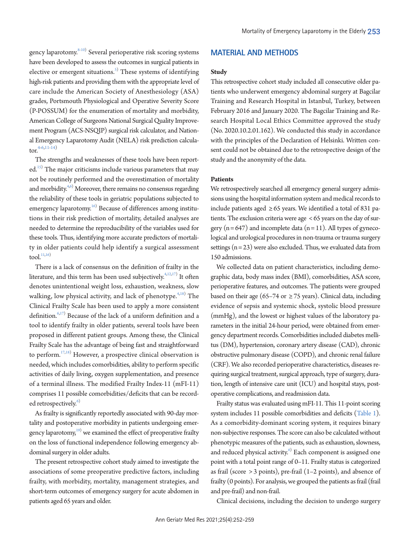gency laparotomy.<sup>[8](#page-6-6)[-10](#page-6-7))</sup> Several perioperative risk scoring systems have been developed to assess the outcomes in surgical patients in elective or emergent situations.<sup>[5\)](#page-6-0)</sup> These systems of identifying high-risk patients and providing them with the appropriate level of care include the American Society of Anesthesiology (ASA) grades, Portsmouth Physiological and Operative Severity Score (P-POSSUM) for the enumeration of mortality and morbidity, American College of Surgeons National Surgical Quality Improvement Program (ACS-NSQIP) surgical risk calculator, and National Emergency Laparotomy Audit (NELA) risk prediction calcula- $tor<sup>4-6,11-14</sup>$  $tor<sup>4-6,11-14</sup>$  $tor<sup>4-6,11-14</sup>$  $tor<sup>4-6,11-14</sup>$  $tor<sup>4-6,11-14</sup>$ 

The strengths and weaknesses of these tools have been reported.<sup>15)</sup> The major criticisms include various parameters that may not be routinely performed and the overestimation of mortality and morbidity. $4,6)$  $4,6)$  $4,6)$  Moreover, there remains no consensus regarding the reliability of these tools in geriatric populations subjected to emergency laparotomy.<sup>[16](#page-7-2))</sup> Because of differences among institutions in their risk prediction of mortality, detailed analyses are needed to determine the reproducibility of the variables used for these tools. Thus, identifying more accurate predictors of mortality in older patients could help identify a surgical assessment  $tool.$ <sup>11[,16\)](#page-7-2)</sup>

There is a lack of consensus on the definition of frailty in the literature, and this term has been used subjectively. $4,12,17)$  $4,12,17)$  $4,12,17)$  It often denotes unintentional weight loss, exhaustion, weakness, slow walking, low physical activity, and lack of phenotype.<sup>[4](#page-6-3),[18](#page-7-0))</sup> The Clinical Frailty Scale has been used to apply a more consistent definition.<sup>[6](#page-6-4)[,17\)](#page-7-3)</sup> Because of the lack of a uniform definition and a tool to identify frailty in older patients, several tools have been proposed in different patient groups. Among these, the Clinical Frailty Scale has the advantage of being fast and straightforward to perform. $17,18)$  $17,18)$  $17,18)$  However, a prospective clinical observation is needed, which includes comorbidities, ability to perform specific activities of daily living, oxygen supplementation, and presence of a terminal illness. The modified Frailty Index-11 (mFI-11) comprises 11 possible comorbidities/deficits that can be recorded retrospectively.<sup>6)</sup>

As frailty is significantly reportedly associated with 90-day mortality and postoperative morbidity in patients undergoing emergency laparotomy,<sup>19)</sup> we examined the effect of preoperative frailty on the loss of functional independence following emergency abdominal surgery in older adults.

The present retrospective cohort study aimed to investigate the associations of some preoperative predictive factors, including frailty, with morbidity, mortality, management strategies, and short-term outcomes of emergency surgery for acute abdomen in patients aged 65 years and older.

#### **MATERIAL AND METHODS**

#### **Study**

This retrospective cohort study included all consecutive older patients who underwent emergency abdominal surgery at Bagcilar Training and Research Hospital in Istanbul, Turkey, between February 2016 and January 2020. The Bagcilar Training and Research Hospital Local Ethics Committee approved the study (No. 2020.10.2.01.162). We conducted this study in accordance with the principles of the Declaration of Helsinki. Written consent could not be obtained due to the retrospective design of the study and the anonymity of the data.

#### **Patients**

We retrospectively searched all emergency general surgery admissions using the hospital information system and medical records to include patients aged  $\geq 65$  years. We identified a total of 831 patients. The exclusion criteria were age < 65 years on the day of surgery  $(n = 647)$  and incomplete data  $(n = 11)$ . All types of gynecological and urological procedures in non-trauma or trauma surgery settings  $(n = 23)$  were also excluded. Thus, we evaluated data from 150 admissions.

We collected data on patient characteristics, including demographic data, body mass index (BMI), comorbidities, ASA score, perioperative features, and outcomes. The patients were grouped based on their age (65–74 or  $\geq$  75 years). Clinical data, including evidence of sepsis and systemic shock, systolic blood pressure (mmHg), and the lowest or highest values of the laboratory parameters in the initial 24-hour period, were obtained from emergency department records. Comorbidities included diabetes mellitus (DM), hypertension, coronary artery disease (CAD), chronic obstructive pulmonary disease (COPD), and chronic renal failure (CRF). We also recorded perioperative characteristics, diseases requiring surgical treatment, surgical approach, type of surgery, duration, length of intensive care unit (ICU) and hospital stays, postoperative complications, and readmission data.

Frailty status was evaluated using mFI-11. This 11-point scoring system includes 11 possible comorbidities and deficits [\(Table 1\)](#page-2-0). As a comorbidity-dominant scoring system, it requires binary non-subjective responses. The score can also be calculated without phenotypic measures of the patients, such as exhaustion, slowness, and reduced physical activity.<sup>6)</sup> Each component is assigned one point with a total point range of 0–11. Frailty status is categorized as frail (score > 3 points), pre-frail (1–2 points), and absence of frailty (0 points). For analysis, we grouped the patients as frail (frail and pre-frail) and non-frail.

Clinical decisions, including the decision to undergo surgery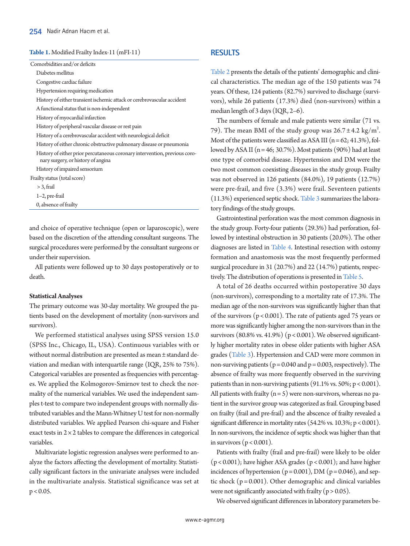#### <span id="page-2-0"></span>**Table 1.** Modified Frailty Index-11 (mFI-11)

| Comorbidities and/or deficits                                                                                    |
|------------------------------------------------------------------------------------------------------------------|
| Diabetes mellitus                                                                                                |
| Congestive cardiac failure                                                                                       |
| Hypertension requiring medication                                                                                |
| History of either transient ischemic attack or cerebrovascular accident                                          |
| A functional status that is non-independent                                                                      |
| History of myocardial infarction                                                                                 |
| History of peripheral vascular disease or rest pain                                                              |
| History of a cerebrovascular accident with neurological deficit                                                  |
| History of either chronic obstructive pulmonary disease or pneumonia                                             |
| History of either prior percutaneous coronary intervention, previous coro-<br>nary surgery, or history of angina |
| History of impaired sensorium                                                                                    |
| Frailty status (total score)                                                                                     |
| $>$ 3, frail                                                                                                     |
| $1-2$ , pre-frail                                                                                                |
| 0, absence of frailty                                                                                            |
|                                                                                                                  |

and choice of operative technique (open or laparoscopic), were based on the discretion of the attending consultant surgeons. The surgical procedures were performed by the consultant surgeons or under their supervision.

All patients were followed up to 30 days postoperatively or to death.

#### **Statistical Analyses**

The primary outcome was 30-day mortality. We grouped the patients based on the development of mortality (non-survivors and survivors).

We performed statistical analyses using SPSS version 15.0 (SPSS Inc., Chicago, IL, USA). Continuous variables with or without normal distribution are presented as mean ± standard deviation and median with interquartile range (IQR, 25% to 75%). Categorical variables are presented as frequencies with percentages. We applied the Kolmogorov-Smirnov test to check the normality of the numerical variables. We used the independent samples t-test to compare two independent groups with normally distributed variables and the Mann-Whitney U test for non-normally distributed variables. We applied Pearson chi-square and Fisher exact tests in  $2 \times 2$  tables to compare the differences in categorical variables.

Multivariate logistic regression analyses were performed to analyze the factors affecting the development of mortality. Statistically significant factors in the univariate analyses were included in the multivariate analysis. Statistical significance was set at  $p < 0.05$ .

## **RESULTS**

[Table 2](#page-3-0) presents the details of the patients' demographic and clinical characteristics. The median age of the 150 patients was 74 years. Of these, 124 patients (82.7%) survived to discharge (survivors), while 26 patients (17.3%) died (non-survivors) within a median length of 3 days (IQR, 2–6).

The numbers of female and male patients were similar (71 vs. 79). The mean BMI of the study group was  $26.7 \pm 4.2$  kg/m<sup>2</sup>. Most of the patients were classified as ASA III ( $n = 62$ ; 41.3%), followed by ASA II ( $n = 46$ ; 30.7%). Most patients (90%) had at least one type of comorbid disease. Hypertension and DM were the two most common coexisting diseases in the study group. Frailty was not observed in 126 patients (84.0%), 19 patients (12.7%) were pre-frail, and five (3.3%) were frail. Seventeen patients (11.3%) experienced septic shock. [Table 3](#page-3-1) summarizes the laboratory findings of the study groups.

Gastrointestinal perforation was the most common diagnosis in the study group. Forty-four patients (29.3%) had perforation, followed by intestinal obstruction in 30 patients (20.0%). The other diagnoses are listed in [Table 4](#page-4-0). Intestinal resection with ostomy formation and anastomosis was the most frequently performed surgical procedure in 31 (20.7%) and 22 (14.7%) patients, respectively. The distribution of operations is presented in [Table 5.](#page-4-1)

A total of 26 deaths occurred within postoperative 30 days (non-survivors), corresponding to a mortality rate of 17.3%. The median age of the non-survivors was significantly higher than that of the survivors ( $p < 0.001$ ). The rate of patients aged 75 years or more was significantly higher among the non-survivors than in the survivors  $(80.8\% \text{ vs. } 41.9\%)$   $(p < 0.001)$ . We observed significantly higher mortality rates in obese older patients with higher ASA grades [\(Table 3](#page-3-1)). Hypertension and CAD were more common in non-surviving patients ( $p = 0.040$  and  $p = 0.003$ , respectively). The absence of frailty was more frequently observed in the surviving patients than in non-surviving patients  $(91.1\% \text{ vs. } 50\%; p < 0.001)$ . All patients with frailty  $(n = 5)$  were non-survivors, whereas no patient in the survivor group was categorized as frail. Grouping based on frailty (frail and pre-frail) and the abscence of frailty revealed a significant difference in mortality rates (54.2% vs. 10.3%; p < 0.001). In non-survivors, the incidence of septic shock was higher than that in survivors ( $p < 0.001$ ).

Patients with frailty (frail and pre-frail) were likely to be older  $(p < 0.001)$ ; have higher ASA grades  $(p < 0.001)$ ; and have higher incidences of hypertension ( $p = 0.001$ ), DM ( $p = 0.046$ ), and septic shock  $(p = 0.001)$ . Other demographic and clinical variables were not significantly associated with frailty ( $p > 0.05$ ).

We observed significant differences in laboratory parameters be-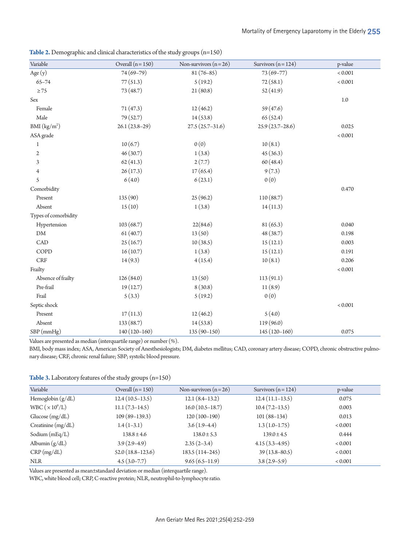| Variable                 | Overall $(n = 150)$ | Non-survivors $(n=26)$ | Survivors ( $n = 124$ ) | p-value |
|--------------------------|---------------------|------------------------|-------------------------|---------|
| Age (y)                  | 74 (69-79)          | $81(76-85)$            | 73 (69-77)              | < 0.001 |
| $65 - 74$                | 77(51.3)            | 5(19.2)                | 72(58.1)                |         |
| $\geq 75$                | 73 (48.7)           | 21(80.8)               | 52(41.9)                | < 0.001 |
| $\operatorname{Sex}$     |                     |                        |                         | $1.0\,$ |
| Female                   | 71(47.3)            | 12(46.2)               | 59 (47.6)               |         |
| Male                     | 79 (52.7)           | 14(53.8)               | 65(52.4)                |         |
| BMI (kg/m <sup>2</sup> ) | $26.1(23.8-29)$     | $27.5(25.7-31.6)$      | $25.9(23.7 - 28.6)$     | 0.025   |
| ASA grade                |                     |                        |                         | < 0.001 |
| 1                        | 10(6.7)             | 0(0)                   | 10(8.1)                 |         |
| $\sqrt{2}$               | 46(30.7)            | 1(3.8)                 | 45(36.3)                |         |
| $\mathfrak{Z}$           | 62(41.3)            | 2(7.7)                 | 60(48.4)                |         |
| 4                        | 26(17.3)            | 17(65.4)               | 9(7.3)                  |         |
| 5                        | 6(4.0)              | 6(23.1)                | 0(0)                    |         |
| Comorbidity              |                     |                        |                         | 0.470   |
| Present                  | 135 (90)            | 25(96.2)               | 110(88.7)               |         |
| Absent                   | 15(10)              | 1(3.8)                 | 14(11.3)                |         |
| Types of comorbidity     |                     |                        |                         |         |
| Hypertension             | 103(68.7)           | 22(84.6)               | 81 (65.3)               | 0.040   |
| ${\rm DM}$               | 61(40.7)            | 13(50)                 | 48 (38.7)               | 0.198   |
| CAD                      | 25(16.7)            | 10(38.5)               | 15(12.1)                | 0.003   |
| COPD                     | 16(10.7)            | 1(3.8)                 | 15(12.1)                | 0.191   |
| <b>CRF</b>               | 14(9.3)             | 4(15.4)                | 10(8.1)                 | 0.206   |
| Frailty                  |                     |                        |                         | < 0.001 |
| Absence of frailty       | 126(84.0)           | 13(50)                 | 113(91.1)               |         |
| Pre-frail                | 19(12.7)            | 8(30.8)                | 11(8.9)                 |         |
| Frail                    | 5(3.3)              | 5(19.2)                | 0(0)                    |         |
| Septic shock             |                     |                        |                         | < 0.001 |
| Present                  | 17(11.3)            | 12(46.2)               | 5(4.0)                  |         |
| Absent                   | 133 (88.7)          | 14(53.8)               | 119 (96.0)              |         |
| SBP (mmHg)               | $140(120-160)$      | $135(90-150)$          | $145(120-160)$          | 0.075   |

<span id="page-3-0"></span>**Table 2.** Demographic and clinical characteristics of the study groups (n=150)

Values are presented as median (interquartile range) or number (%).

BMI, body mass index; ASA, American Society of Anesthesiologists; DM, diabetes mellitus; CAD, coronary artery disease; COPD, chronic obstructive pulmonary disease; CRF, chronic renal failure; SBP; systolic blood pressure.

<span id="page-3-1"></span>**Table 3.** Laboratory features of the study groups (n=150)

| Variable              | Overall $(n = 150)$ | Non-survivors $(n=26)$ | Survivors $(n = 124)$ | p-value        |
|-----------------------|---------------------|------------------------|-----------------------|----------------|
| Hemoglobin $(g/dL)$   | $12.4(10.5-13.5)$   | $12.1(8.4-13.2)$       | $12.4(11.1-13.5)$     | 0.075          |
| WBC $(\times 10^9/L)$ | $11.1(7.3-14.5)$    | $16.0(10.5-18.7)$      | $10.4(7.2-13.5)$      | 0.003          |
| Glucose $(mg/dL)$     | $109(89-139.3)$     | $120(100-190)$         | $101(88-134)$         | 0.013          |
| Creatinine $(mg/dL)$  | $1.4(1-3.1)$        | $3.6(1.9-4.4)$         | $1.3(1.0-1.75)$       | ${}_{< 0.001}$ |
| Sodium $(mEq/L)$      | $138.8 \pm 4.6$     | $138.0 \pm 5.3$        | $139.0 \pm 4.5$       | 0.444          |
| Albumin $(g/dL)$      | $3.9(2.9-4.9)$      | $2.35(2-3.4)$          | $4.15(3.3-4.95)$      | ${}_{< 0.001}$ |
| CRP(mg/dL)            | $52.0(18.8-123.6)$  | $183.5(114-245)$       | $39(13.8 - 80.5)$     | ${}_{< 0.001}$ |
| <b>NLR</b>            | $4.5(3.0-7.7)$      | $9.65(6.5-11.9)$       | $3.8(2.9-5.9)$        | ${}_{< 0.001}$ |

Values are presented as mean±standard deviation or median (interquartile range).

WBC, white blood cell; CRP, C-reactive protein; NLR, neutrophil-to-lymphocyte ratio.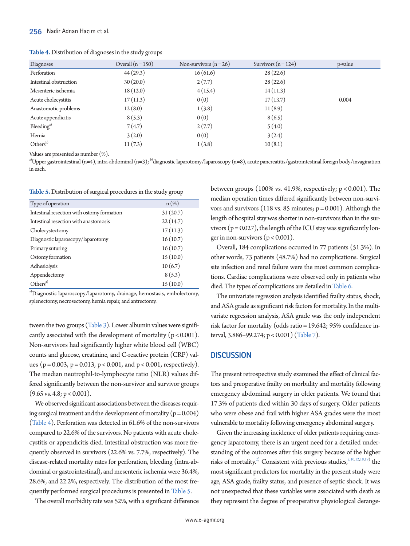<span id="page-4-0"></span>**Table 4.** Distribution of diagnoses in the study groups

| Diagnoses              | Overall $(n = 150)$ | Non-survivors $(n=26)$<br>Survivors $(n=124)$ |          | p-value |
|------------------------|---------------------|-----------------------------------------------|----------|---------|
| Perforation            | 44(29.3)            | 16(61.6)                                      | 28(22.6) |         |
| Intestinal obstruction | 30(20.0)            | 2(7.7)                                        | 28(22.6) |         |
| Mesenteric ischemia    | 18(12.0)            | 4(15.4)                                       | 14(11.3) |         |
| Acute cholecystitis    | 17(11.3)            | 0(0)                                          | 17(13.7) | 0.004   |
| Anastomotic problems   | 12(8.0)             | 1(3.8)                                        | 11(8.9)  |         |
| Acute appendicitis     | 8(5.3)              | 0(0)                                          | 8(6.5)   |         |
| Bleeding <sup>a)</sup> | 7(4.7)              | 2(7.7)                                        | 5(4.0)   |         |
| Hernia                 | 3(2.0)              | 0(0)                                          | 3(2.4)   |         |
| Others <sup>b)</sup>   | 11(7.3)             | 1(3.8)                                        | 10(8.1)  |         |

Values are presented as number (%).

<sup>a)</sup>Upper gastrointestinal (n=4), intra-abdominal (n=3); <sup>b)</sup>diagnostic laparotomy/laparoscopy (n=8), acute pancreatitis/gastrointestinal foreign body/invagination in each.

<span id="page-4-1"></span>**Table 5.** Distribution of surgical procedures in the study group

| Type of operation                          | $n(\%)$  |
|--------------------------------------------|----------|
| Intestinal resection with ostomy formation | 31(20.7) |
| Intestinal resection with anastomosis      | 22(14.7) |
| Cholecystectomy                            | 17(11.3) |
| Diagnostic laparoscopy/laparotomy          | 16(10.7) |
| Primary suturing                           | 16(10.7) |
| Ostomy formation                           | 15(10.0) |
| Adhesiolysis                               | 10(6.7)  |
| Appendectomy                               | 8(5.3)   |
| Others <sup>a)</sup>                       | 15(10.0) |

a)Diagnostic laparoscopy/laparotomy, drainage, hemostasis, embolectomy, splenectomy, necrosectomy, hernia repair, and antrectomy.

tween the two groups [\(Table 3](#page-3-1)). Lower albumin values were significantly associated with the development of mortality  $(p < 0.001)$ . Non-survivors had significantly higher white blood cell (WBC) counts and glucose, creatinine, and C-reactive protein (CRP) values ( $p = 0.003$ ,  $p = 0.013$ ,  $p < 0.001$ , and  $p < 0.001$ , respectively). The median neutrophil-to-lymphocyte ratio (NLR) values differed significantly between the non-survivor and survivor groups  $(9.65 \text{ vs. } 4.8; \text{ p} < 0.001).$ 

We observed significant associations between the diseases requiring surgical treatment and the development of mortality ( $p = 0.004$ ) [\(Table 4](#page-4-0)). Perforation was detected in 61.6% of the non-survivors compared to 22.6% of the survivors. No patients with acute cholecystitis or appendicitis died. Intestinal obstruction was more frequently observed in survivors (22.6% vs. 7.7%, respectively). The disease-related mortality rates for perforation, bleeding (intra-abdominal or gastrointestinal), and mesenteric ischemia were 36.4%, 28.6%, and 22.2%, respectively. The distribution of the most frequently performed surgical procedures is presented in [Table 5.](#page-4-1)

The overall morbidity rate was 52%, with a significant difference

between groups (100% vs. 41.9%, respectively; p < 0.001). The median operation times differed significantly between non-survivors and survivors (118 vs. 85 minutes;  $p = 0.001$ ). Although the length of hospital stay was shorter in non-survivors than in the survivors  $(p = 0.027)$ , the length of the ICU stay was significantly longer in non-survivors ( $p < 0.001$ ).

Overall, 184 complications occurred in 77 patients (51.3%). In other words, 73 patients (48.7%) had no complications. Surgical site infection and renal failure were the most common complications. Cardiac complications were observed only in patients who died. The types of complications are detailed i[n Table 6](#page-5-0).

The univariate regression analysis identified frailty status, shock, and ASA grade as significant risk factors for mortality. In the multivariate regression analysis, ASA grade was the only independent risk factor for mortality (odds ratio = 19.642; 95% confidence interval, 3.886–99.274; p < 0.001) [\(Table 7\)](#page-5-1).

## **DISCUSSION**

The present retrospective study examined the effect of clinical factors and preoperative frailty on morbidity and mortality following emergency abdominal surgery in older patients. We found that 17.3% of patients died within 30 days of surgery. Older patients who were obese and frail with higher ASA grades were the most vulnerable to mortality following emergency abdominal surgery.

Given the increasing incidence of older patients requiring emergency laparotomy, there is an urgent need for a detailed understanding of the outcomes after this surgery because of the higher risks of mortality.<sup>2)</sup> Consistent with previous studies,<sup>2,10,12,18,19)</sup> the most significant predictors for mortality in the present study were age, ASA grade, frailty status, and presence of septic shock. It was not unexpected that these variables were associated with death as they represent the degree of preoperative physiological derange-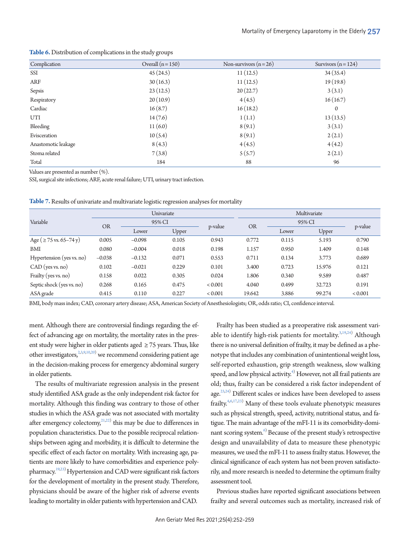| Complication        | Overall $(n = 150)$ | Non-survivors $(n=26)$ | Survivors $(n = 124)$ |
|---------------------|---------------------|------------------------|-----------------------|
| SSI                 | 45(24.5)            | 11(12.5)               | 34(35.4)              |
| <b>ARF</b>          | 30(16.3)            | 11(12.5)               | 19(19.8)              |
| Sepsis              | 23(12.5)            | 20(22.7)               | 3(3.1)                |
| Respiratory         | 20(10.9)            | 4(4.5)                 | 16(16.7)              |
| Cardiac             | 16(8.7)             | 16(18.2)               | $\mathbf{0}$          |
| UTI                 | 14(7.6)             | 1(1.1)                 | 13(13.5)              |
| Bleeding            | 11(6.0)             | 8(9.1)                 | 3(3.1)                |
| Evisceration        | 10(5.4)             | 8(9.1)                 | 2(2.1)                |
| Anastomotic leakage | 8(4.3)              | 4(4.5)                 | 4(4.2)                |
| Stoma related       | 7(3.8)              | 5(5.7)                 | 2(2.1)                |
| Total               | 184                 | 88                     | 96                    |
|                     |                     |                        |                       |

<span id="page-5-0"></span>**Table 6.** Distribution of complications in the study groups

Values are presented as number (%).

SSI, surgical site infections; ARF, acute renal failure; UTI, urinary tract infection.

|                              | Univariate |          |              | Multivariate |           |        |        |                |
|------------------------------|------------|----------|--------------|--------------|-----------|--------|--------|----------------|
| Variable                     | <b>OR</b>  |          | 95% CI       |              | <b>OR</b> | 95% CI |        |                |
|                              |            | Lower    | <b>Upper</b> | p-value      |           | Lower  | Upper  | p-value        |
| Age ( $\geq$ 75 vs. 65–74 y) | 0.005      | $-0.098$ | 0.105        | 0.943        | 0.772     | 0.115  | 5.193  | 0.790          |
| BMI                          | 0.080      | $-0.004$ | 0.018        | 0.198        | 1.157     | 0.950  | 1.409  | 0.148          |
| Hypertension (yes vs. no)    | $-0.038$   | $-0.132$ | 0.071        | 0.553        | 0.711     | 0.134  | 3.773  | 0.689          |
| $CAD$ (yes vs. no)           | 0.102      | $-0.021$ | 0.229        | 0.101        | 3.400     | 0.723  | 15.976 | 0.121          |
| Frailty (yes vs. no)         | 0.158      | 0.022    | 0.305        | 0.024        | 1.806     | 0.340  | 9.589  | 0.487          |
| Septic shock (yes vs. no)    | 0.268      | 0.165    | 0.475        | < 0.001      | 4.040     | 0.499  | 32.723 | 0.191          |
| ASA grade                    | 0.415      | 0.110    | 0.227        | < 0.001      | 19.642    | 3.886  | 99.274 | ${}_{< 0.001}$ |

<span id="page-5-1"></span>**Table 7.** Results of univariate and multivariate logistic regression analyses for mortality

BMI, body mass index; CAD, coronary artery disease; ASA, American Society of Anesthesiologists; OR, odds ratio; CI, confidence interval.

ment. Although there are controversial findings regarding the effect of advancing age on mortality, the mortality rates in the present study were higher in older patients aged ≥ 75 years. Thus, like other investigators,  $23,9,10,20$  $23,9,10,20$  $23,9,10,20$  we recommend considering patient age in the decision-making process for emergency abdominal surgery in older patients.

The results of multivariate regression analysis in the present study identified ASA grade as the only independent risk factor for mortality. Although this finding was contrary to those of other studies in which the ASA grade was not associated with mortality after emergency colectomy,  $21,222$  $21,222$  $21,222$  $21,222$  this may be due to differences in population characteristics. Due to the possible reciprocal relationships between aging and morbidity, it is difficult to determine the specific effect of each factor on mortality. With increasing age, patients are more likely to have comorbidities and experience poly-pharmacy.<sup>19[,23](#page-7-7))</sup> Hypertension and CAD were significant risk factors for the development of mortality in the present study. Therefore, physicians should be aware of the higher risk of adverse events leading to mortality in older patients with hypertension and CAD.

Frailty has been studied as a preoperative risk assessment vari-able to identify high-risk patients for mortality.<sup>3,19[,24](#page-7-4))</sup> Although there is no universal definition of frailty, it may be defined as a phenotype that includes any combination of unintentional weight loss, self-reported exhaustion, grip strength weakness, slow walking speed, and low physical activity.<sup>4)</sup> However, not all frail patients are old; thus, frailty can be considered a risk factor independent of age.<sup>23[,24\)](#page-7-4)</sup> Different scales or indices have been developed to assess frailty. $4,6,17,23$  $4,6,17,23$ ) Many of these tools evaluate phenotypic measures such as physical strength, speed, activity, nutritional status, and fatigue. The main advantage of the mFI-11 is its comorbidity-dominant scoring system. $6$  Because of the present study's retrospective design and unavailability of data to measure these phenotypic measures, we used the mFI-11 to assess frailty status. However, the clinical significance of each system has not been proven satisfactorily, and more research is needed to determine the optimum frailty assessment tool.

Previous studies have reported significant associations between frailty and several outcomes such as mortality, increased risk of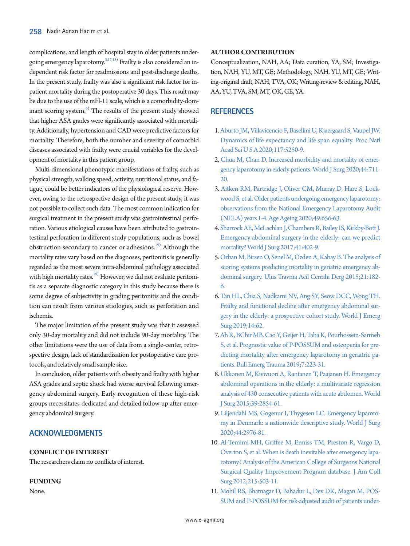complications, and length of hospital stay in older patients undergoing emergency laparotomy.<sup>3,17,18)</sup> Frailty is also considered an independent risk factor for readmissions and post-discharge deaths. In the present study, frailty was also a significant risk factor for inpatient mortality during the postoperative 30 days. This result may be due to the use of the mFl-11 scale, which is a comorbidity-dominant scoring system.<sup>6)</sup> The results of the present study showed that higher ASA grades were significantly associated with mortality. Additionally, hypertension and CAD were predictive factors for mortality. Therefore, both the number and severity of comorbid diseases associated with frailty were crucial variables for the development of mortality in this patient group.

Multi-dimensional phenotypic manifestations of frailty, such as physical strength, walking speed, activity, nutritional status, and fatigue, could be better indicators of the physiological reserve. However, owing to the retrospective design of the present study, it was not possible to collect such data. The most common indication for surgical treatment in the present study was gastrointestinal perforation. Various etiological causes have been attributed to gastrointestinal perforation in different study populations, such as bowel obstruction secondary to cancer or adhesions.<sup>19)</sup> Although the mortality rates vary based on the diagnoses, peritonitis is generally regarded as the most severe intra-abdominal pathology associated with high mortality rates.<sup>[19](#page-7-9))</sup> However, we did not evaluate peritonitis as a separate diagnostic category in this study because there is some degree of subjectivity in grading peritonitis and the condition can result from various etiologies, such as perforation and ischemia.

The major limitation of the present study was that it assessed only 30-day mortality and did not include 90-day mortality. The other limitations were the use of data from a single-center, retrospective design, lack of standardization for postoperative care protocols, and relatively small sample size.

In conclusion, older patients with obesity and frailty with higher ASA grades and septic shock had worse survival following emergency abdominal surgery. Early recognition of these high-risk groups necessitates dedicated and detailed follow-up after emergency abdominal surgery.

# **ACKNOWLEDGMENTS**

## **CONFLICT OF INTEREST**

The researchers claim no conflicts of interest.

## **FUNDING**

None.

#### **AUTHOR CONTRIBUTION**

<span id="page-6-1"></span>Conceptualization, NAH, AA; Data curation, YA, SM; Investigation, NAH, YU, MT, GE; Methodology, NAH, YU, MT, GE; Writing-original draft, NAH, TVA, OK; Writing-review & editing, NAH, AA, YU, TVA, SM, MT, OK, GE, YA.

## <span id="page-6-3"></span>**REFERENCES**

- <span id="page-6-2"></span><span id="page-6-0"></span>1. Aburto JM, Villavicencio F, Basellini U, Kjaergaard S, Vaupel JW. Dynamics of life expectancy and life span equality. Proc Natl Acad Sci U S A 2020;117:5250-9.
- <span id="page-6-4"></span>2. Chua M, Chan D. Increased morbidity and mortality of emergency laparotomy in elderly patients. World J Surg 2020;44:711- 20.
- 3. Ait[ken RM, Partridge J, Oliver CM, Murray D, Hare S, Lock](https://doi.org/10.1093/ageing/afaa075)[wood S, et al. Older patients undergoing emergency laparotomy:](https://doi.org/10.1093/ageing/afaa075)  [observations from the National Emergency Laparotomy Audit](https://doi.org/10.1093/ageing/afaa075)  [\(NELA\) years 1-4. Age Ageing 2020;49:656-63.](https://doi.org/10.1093/ageing/afaa075)
- 4. [Sharrock AE, McLachlan J, Chambers R, Bailey IS, Kirkby-Bott J.](https://doi.org/10.1007/s00268-016-3751-3)  [Emergency abdominal surgery in the elderly: can we predict](https://doi.org/10.1007/s00268-016-3751-3)  [mortality? World J Surg 2017;41:402-9.](https://doi.org/10.1007/s00268-016-3751-3)
- 5. [Ozban M, Birsen O, Senel M, Ozden A, Kabay B. The analysis of](https://doi.org/10.5505/tjtes.2015.05046)  [scoring systems predicting mortality in geriatric emergency ab](https://doi.org/10.5505/tjtes.2015.05046)[dominal surgery. Ulus Travma Acil Cerrahi Derg 2015;21:182-](https://doi.org/10.5505/tjtes.2015.05046) [6.](https://doi.org/10.5505/tjtes.2015.05046)
- 6. [Tan HL, Chia S, Nadkarni NV, Ang SY, Seow DCC, Wong TH.](https://doi.org/10.1186/s13017-019-0280-z)  [Frailty and functional decline after emergency abdominal sur](https://doi.org/10.1186/s13017-019-0280-z)[gery in the elderly: a prospective cohort study. World J Emerg](https://doi.org/10.1186/s13017-019-0280-z)  [Surg 2019;14:62.](https://doi.org/10.1186/s13017-019-0280-z)
- <span id="page-6-5"></span>[7. Ah R, BChir MB, Cao Y, Geijer H, Taha K, Pourhossein-Sarmeh](https://doi.org/10.29252/beat-070303)  [S, et al. Prognostic value of P-POSSUM and osteopenia for pre](https://doi.org/10.29252/beat-070303)[dicting mortality after emergency laparotomy in geriatric pa](https://doi.org/10.29252/beat-070303)[tients. Bull Emerg Trauma 2019;7:223-31](https://doi.org/10.29252/beat-070303).
- <span id="page-6-6"></span>[8. Ukkonen M, Kivivuori A, Rantanen T, Paajanen H. Emergency](https://doi.org/10.1007/s00268-015-3207-1)  [abdominal operations in the elderly: a multivariate regression](https://doi.org/10.1007/s00268-015-3207-1)  [analysis of 430 consecutive patients with acute abdomen. World](https://doi.org/10.1007/s00268-015-3207-1)  [J Surg 2015;39:2854-61](https://doi.org/10.1007/s00268-015-3207-1).
- <span id="page-6-9"></span>9[. Liljendahl MS, Gogenur I, Thygesen LC. Emergency laparoto](https://doi.org/10.1007/s00268-020-05580-5)[my in Denmark: a nationwide descriptive study. World J Surg](https://doi.org/10.1007/s00268-020-05580-5)  [2020;44:2976-81](https://doi.org/10.1007/s00268-020-05580-5).
- <span id="page-6-8"></span><span id="page-6-7"></span>10. Al-Temimi MH, Griffee M, Enniss TM, Preston R, Vargo [D,](https://doi.org/10.1016/j.jamcollsurg.2012.06.004)  [Overton S, et al. When is death inevitable after emergency lapa](https://doi.org/10.1016/j.jamcollsurg.2012.06.004)[rotomy? Analysis of the American College of Surgeons National](https://doi.org/10.1016/j.jamcollsurg.2012.06.004)  [Surgical Quality Improvement Program database. J](https://doi.org/10.1016/j.jamcollsurg.2012.06.004) Am Coll Surg 2012;215:503-11.
- 11. [Mohil RS, Bhatnagar D, Bahadur L, Dev DK, Magan M. POS-](https://doi.org/10.1002/bjs.4465)[SUM and P-POSSUM for risk-adjusted audit of patients under-](https://doi.org/10.1002/bjs.4465)